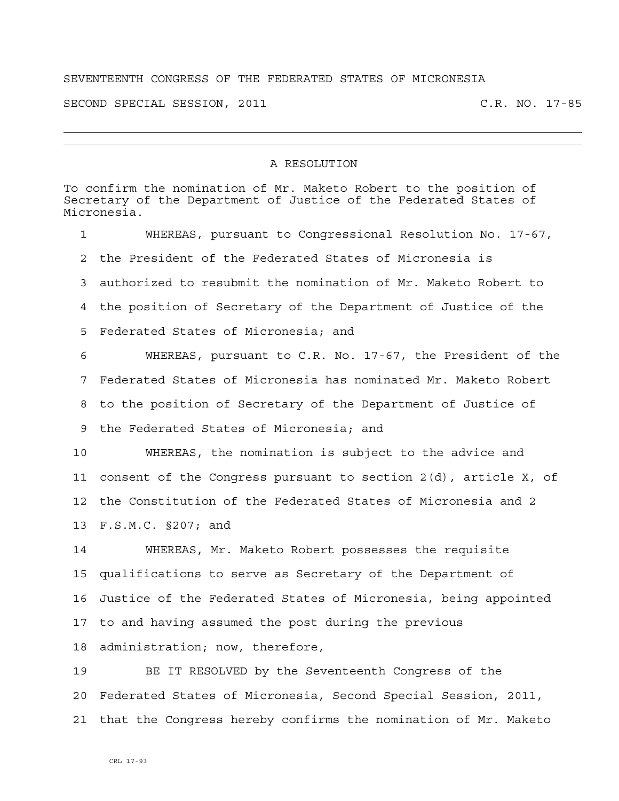## SEVENTEENTH CONGRESS OF THE FEDERATED STATES OF MICRONESIA

SECOND SPECIAL SESSION, 2011 C.R. NO. 17-85

## A RESOLUTION

To confirm the nomination of Mr. Maketo Robert to the position of Secretary of the Department of Justice of the Federated States of Micronesia. 1 WHEREAS, pursuant to Congressional Resolution No. 17-67, 2 the President of the Federated States of Micronesia is 3 authorized to resubmit the nomination of Mr. Maketo Robert to 4 the position of Secretary of the Department of Justice of the 5 Federated States of Micronesia; and 6 WHEREAS, pursuant to C.R. No. 17-67, the President of the 7 Federated States of Micronesia has nominated Mr. Maketo Robert 8 to the position of Secretary of the Department of Justice of 9 the Federated States of Micronesia; and 10 WHEREAS, the nomination is subject to the advice and 11 consent of the Congress pursuant to section 2(d), article X, of 12 the Constitution of the Federated States of Micronesia and 2 13 F.S.M.C. §207; and 14 WHEREAS, Mr. Maketo Robert possesses the requisite 15 qualifications to serve as Secretary of the Department of 16 Justice of the Federated States of Micronesia, being appointed 17 to and having assumed the post during the previous 18 administration; now, therefore, 19 BE IT RESOLVED by the Seventeenth Congress of the 20 Federated States of Micronesia, Second Special Session, 2011, 21 that the Congress hereby confirms the nomination of Mr. Maketo